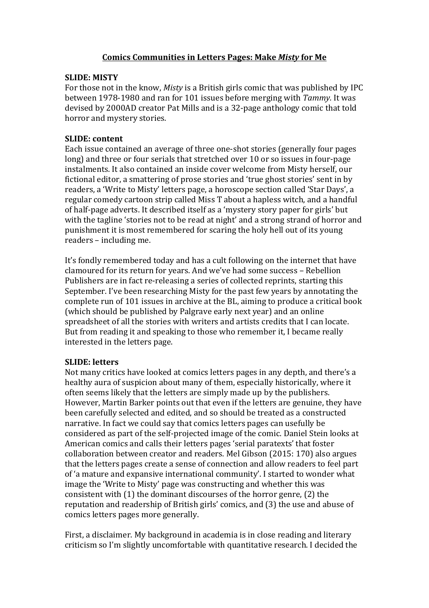# **Comics Communities in Letters Pages: Make** *Misty* **for Me**

## **SLIDE: MISTY**

For those not in the know, *Misty* is a British girls comic that was published by IPC between 1978-1980 and ran for 101 issues before merging with *Tammy.* It was devised by 2000AD creator Pat Mills and is a 32-page anthology comic that told horror and mystery stories.

## **SLIDE: content**

Each issue contained an average of three one-shot stories (generally four pages long) and three or four serials that stretched over 10 or so issues in four-page instalments. It also contained an inside cover welcome from Misty herself, our fictional editor, a smattering of prose stories and 'true ghost stories' sent in by readers, a 'Write to Misty' letters page, a horoscope section called 'Star Days', a regular comedy cartoon strip called Miss T about a hapless witch, and a handful of half-page adverts. It described itself as a 'mystery story paper for girls' but with the tagline 'stories not to be read at night' and a strong strand of horror and punishment it is most remembered for scaring the holy hell out of its young readers – including me.

It's fondly remembered today and has a cult following on the internet that have clamoured for its return for years. And we've had some success – Rebellion Publishers are in fact re-releasing a series of collected reprints, starting this September. I've been researching Misty for the past few years by annotating the complete run of 101 issues in archive at the BL, aiming to produce a critical book (which should be published by Palgrave early next year) and an online spreadsheet of all the stories with writers and artists credits that I can locate. But from reading it and speaking to those who remember it, I became really interested in the letters page.

## **SLIDE: letters**

Not many critics have looked at comics letters pages in any depth, and there's a healthy aura of suspicion about many of them, especially historically, where it often seems likely that the letters are simply made up by the publishers. However, Martin Barker points out that even if the letters are genuine, they have been carefully selected and edited, and so should be treated as a constructed narrative. In fact we could say that comics letters pages can usefully be considered as part of the self-projected image of the comic. Daniel Stein looks at American comics and calls their letters pages 'serial paratexts' that foster collaboration between creator and readers. Mel Gibson (2015: 170) also argues that the letters pages create a sense of connection and allow readers to feel part of 'a mature and expansive international community'. I started to wonder what image the 'Write to Misty' page was constructing and whether this was consistent with (1) the dominant discourses of the horror genre, (2) the reputation and readership of British girls' comics, and (3) the use and abuse of comics letters pages more generally.

First, a disclaimer. My background in academia is in close reading and literary criticism so I'm slightly uncomfortable with quantitative research. I decided the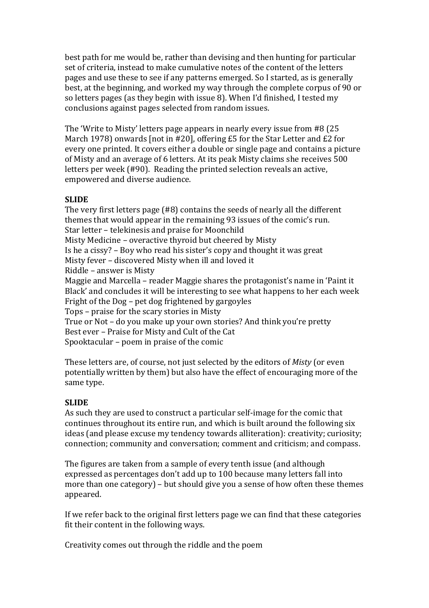best path for me would be, rather than devising and then hunting for particular set of criteria, instead to make cumulative notes of the content of the letters pages and use these to see if any patterns emerged. So I started, as is generally best, at the beginning, and worked my way through the complete corpus of 90 or so letters pages (as they begin with issue 8). When I'd finished, I tested my conclusions against pages selected from random issues.

The 'Write to Misty' letters page appears in nearly every issue from #8 (25 March 1978) onwards [not in #20], offering £5 for the Star Letter and £2 for every one printed. It covers either a double or single page and contains a picture of Misty and an average of 6 letters. At its peak Misty claims she receives 500 letters per week (#90). Reading the printed selection reveals an active, empowered and diverse audience.

## **SLIDE**

The very first letters page (#8) contains the seeds of nearly all the different themes that would appear in the remaining 93 issues of the comic's run. Star letter – telekinesis and praise for Moonchild Misty Medicine – overactive thyroid but cheered by Misty Is he a cissy? – Boy who read his sister's copy and thought it was great Misty fever – discovered Misty when ill and loved it Riddle – answer is Misty Maggie and Marcella – reader Maggie shares the protagonist's name in 'Paint it Black' and concludes it will be interesting to see what happens to her each week Fright of the Dog – pet dog frightened by gargoyles Tops – praise for the scary stories in Misty True or Not – do you make up your own stories? And think you're pretty Best ever – Praise for Misty and Cult of the Cat Spooktacular – poem in praise of the comic

These letters are, of course, not just selected by the editors of *Misty* (or even potentially written by them) but also have the effect of encouraging more of the same type.

## **SLIDE**

As such they are used to construct a particular self-image for the comic that continues throughout its entire run, and which is built around the following six ideas (and please excuse my tendency towards alliteration): creativity; curiosity; connection; community and conversation; comment and criticism; and compass.

The figures are taken from a sample of every tenth issue (and although expressed as percentages don't add up to 100 because many letters fall into more than one category) – but should give you a sense of how often these themes appeared.

If we refer back to the original first letters page we can find that these categories fit their content in the following ways.

Creativity comes out through the riddle and the poem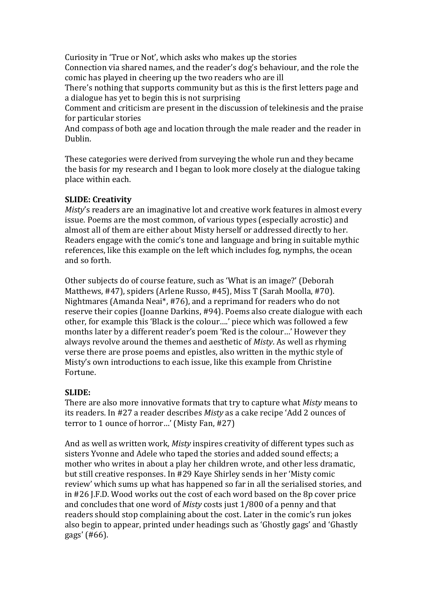Curiosity in 'True or Not', which asks who makes up the stories

Connection via shared names, and the reader's dog's behaviour, and the role the comic has played in cheering up the two readers who are ill

There's nothing that supports community but as this is the first letters page and a dialogue has yet to begin this is not surprising

Comment and criticism are present in the discussion of telekinesis and the praise for particular stories

And compass of both age and location through the male reader and the reader in Dublin.

These categories were derived from surveying the whole run and they became the basis for my research and I began to look more closely at the dialogue taking place within each.

# **SLIDE: Creativity**

*Misty*'s readers are an imaginative lot and creative work features in almost every issue. Poems are the most common, of various types (especially acrostic) and almost all of them are either about Misty herself or addressed directly to her. Readers engage with the comic's tone and language and bring in suitable mythic references, like this example on the left which includes fog, nymphs, the ocean and so forth.

Other subjects do of course feature, such as 'What is an image?' (Deborah Matthews, #47), spiders (Arlene Russo, #45), Miss T (Sarah Moolla, #70). Nightmares (Amanda Neai\*, #76), and a reprimand for readers who do not reserve their copies (Joanne Darkins, #94). Poems also create dialogue with each other, for example this 'Black is the colour….' piece which was followed a few months later by a different reader's poem 'Red is the colour…' However they always revolve around the themes and aesthetic of *Misty*. As well as rhyming verse there are prose poems and epistles, also written in the mythic style of Misty's own introductions to each issue, like this example from Christine Fortune.

## **SLIDE:**

There are also more innovative formats that try to capture what *Misty* means to its readers. In #27 a reader describes *Misty* as a cake recipe 'Add 2 ounces of terror to 1 ounce of horror…' (Misty Fan, #27)

And as well as written work, *Misty* inspires creativity of different types such as sisters Yvonne and Adele who taped the stories and added sound effects; a mother who writes in about a play her children wrote, and other less dramatic, but still creative responses. In #29 Kaye Shirley sends in her 'Misty comic review' which sums up what has happened so far in all the serialised stories, and in #26 J.F.D. Wood works out the cost of each word based on the 8p cover price and concludes that one word of *Misty* costs just 1/800 of a penny and that readers should stop complaining about the cost. Later in the comic's run jokes also begin to appear, printed under headings such as 'Ghostly gags' and 'Ghastly gags' (#66).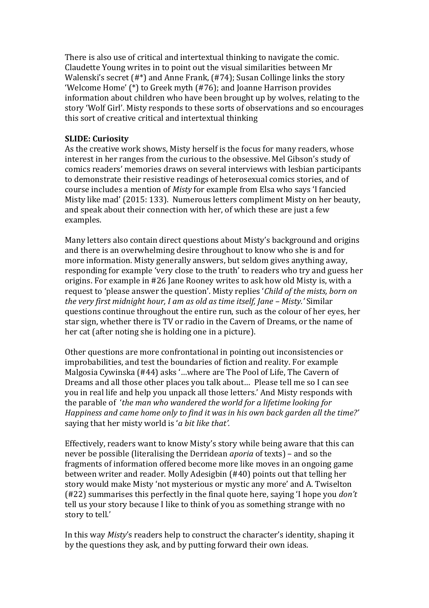There is also use of critical and intertextual thinking to navigate the comic. Claudette Young writes in to point out the visual similarities between Mr Walenski's secret (#\*) and Anne Frank, (#74); Susan Collinge links the story 'Welcome Home' (\*) to Greek myth (#76); and Joanne Harrison provides information about children who have been brought up by wolves, relating to the story 'Wolf Girl'. Misty responds to these sorts of observations and so encourages this sort of creative critical and intertextual thinking

# **SLIDE: Curiosity**

As the creative work shows, Misty herself is the focus for many readers, whose interest in her ranges from the curious to the obsessive. Mel Gibson's study of comics readers' memories draws on several interviews with lesbian participants to demonstrate their resistive readings of heterosexual comics stories, and of course includes a mention of *Misty* for example from Elsa who says 'I fancied Misty like mad' (2015: 133). Numerous letters compliment Misty on her beauty, and speak about their connection with her, of which these are just a few examples.

Many letters also contain direct questions about Misty's background and origins and there is an overwhelming desire throughout to know who she is and for more information. Misty generally answers, but seldom gives anything away, responding for example 'very close to the truth' to readers who try and guess her origins. For example in #26 Jane Rooney writes to ask how old Misty is, with a request to 'please answer the question'. Misty replies '*Child of the mists, born on the very first midnight hour, I am as old as time itself, Jane - Misty.'* Similar questions continue throughout the entire run, such as the colour of her eyes, her star sign, whether there is TV or radio in the Cavern of Dreams, or the name of her cat (after noting she is holding one in a picture).

Other questions are more confrontational in pointing out inconsistencies or improbabilities, and test the boundaries of fiction and reality. For example Malgosia Cywinska (#44) asks '…where are The Pool of Life, The Cavern of Dreams and all those other places you talk about… Please tell me so I can see you in real life and help you unpack all those letters.' And Misty responds with the parable of '*the man who wandered the world for a lifetime looking for Happiness and came home only to find it was in his own back garden all the time?'*  saying that her misty world is '*a bit like that'.*

Effectively, readers want to know Misty's story while being aware that this can never be possible (literalising the Derridean *aporia* of texts) – and so the fragments of information offered become more like moves in an ongoing game between writer and reader. Molly Adesigbin (#40) points out that telling her story would make Misty 'not mysterious or mystic any more' and A. Twiselton (#22) summarises this perfectly in the final quote here, saying 'I hope you *don't*  tell us your story because I like to think of you as something strange with no story to tell.'

In this way *Misty*'s readers help to construct the character's identity, shaping it by the questions they ask, and by putting forward their own ideas.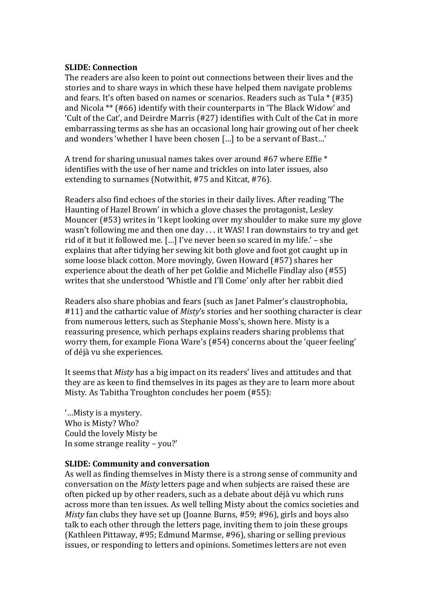### **SLIDE: Connection**

The readers are also keen to point out connections between their lives and the stories and to share ways in which these have helped them navigate problems and fears. It's often based on names or scenarios. Readers such as Tula \* (#35) and Nicola \*\* (#66) identify with their counterparts in 'The Black Widow' and 'Cult of the Cat', and Deirdre Marris (#27) identifies with Cult of the Cat in more embarrassing terms as she has an occasional long hair growing out of her cheek and wonders 'whether I have been chosen […] to be a servant of Bast…'

A trend for sharing unusual names takes over around #67 where Effie \* identifies with the use of her name and trickles on into later issues, also extending to surnames (Notwithit, #75 and Kitcat, #76).

Readers also find echoes of the stories in their daily lives. After reading 'The Haunting of Hazel Brown' in which a glove chases the protagonist, Lesley Mouncer (#53) writes in 'I kept looking over my shoulder to make sure my glove wasn't following me and then one day . . . it WAS! I ran downstairs to try and get rid of it but it followed me. […] I've never been so scared in my life.' – she explains that after tidying her sewing kit both glove and foot got caught up in some loose black cotton. More movingly, Gwen Howard (#57) shares her experience about the death of her pet Goldie and Michelle Findlay also (#55) writes that she understood 'Whistle and I'll Come' only after her rabbit died

Readers also share phobias and fears (such as Janet Palmer's claustrophobia, #11) and the cathartic value of *Misty*'s stories and her soothing character is clear from numerous letters, such as Stephanie Moss's, shown here. Misty is a reassuring presence, which perhaps explains readers sharing problems that worry them, for example Fiona Ware's (#54) concerns about the 'queer feeling' of déjà vu she experiences.

It seems that *Misty* has a big impact on its readers' lives and attitudes and that they are as keen to find themselves in its pages as they are to learn more about Misty. As Tabitha Troughton concludes her poem (#55):

'…Misty is a mystery. Who is Misty? Who? Could the lovely Misty be In some strange reality – you?'

## **SLIDE: Community and conversation**

As well as finding themselves in Misty there is a strong sense of community and conversation on the *Misty* letters page and when subjects are raised these are often picked up by other readers, such as a debate about déjà vu which runs across more than ten issues. As well telling Misty about the comics societies and *Misty* fan clubs they have set up (Joanne Burns, #59; #96), girls and boys also talk to each other through the letters page, inviting them to join these groups (Kathleen Pittaway, #95; Edmund Marmse, #96), sharing or selling previous issues, or responding to letters and opinions. Sometimes letters are not even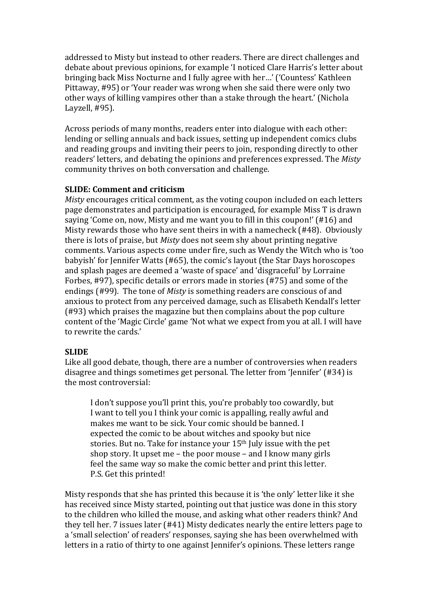addressed to Misty but instead to other readers. There are direct challenges and debate about previous opinions, for example 'I noticed Clare Harris's letter about bringing back Miss Nocturne and I fully agree with her…' ('Countess' Kathleen Pittaway, #95) or 'Your reader was wrong when she said there were only two other ways of killing vampires other than a stake through the heart.' (Nichola Layzell, #95).

Across periods of many months, readers enter into dialogue with each other: lending or selling annuals and back issues, setting up independent comics clubs and reading groups and inviting their peers to join, responding directly to other readers' letters, and debating the opinions and preferences expressed. The *Misty*  community thrives on both conversation and challenge.

### **SLIDE: Comment and criticism**

*Misty* encourages critical comment, as the voting coupon included on each letters page demonstrates and participation is encouraged, for example Miss T is drawn saying 'Come on, now, Misty and me want you to fill in this coupon!' (#16) and Misty rewards those who have sent theirs in with a namecheck (#48). Obviously there is lots of praise, but *Misty* does not seem shy about printing negative comments. Various aspects come under fire, such as Wendy the Witch who is 'too babyish' for Jennifer Watts (#65), the comic's layout (the Star Days horoscopes and splash pages are deemed a 'waste of space' and 'disgraceful' by Lorraine Forbes, #97), specific details or errors made in stories (#75) and some of the endings (#99). The tone of *Misty* is something readers are conscious of and anxious to protect from any perceived damage, such as Elisabeth Kendall's letter (#93) which praises the magazine but then complains about the pop culture content of the 'Magic Circle' game 'Not what we expect from you at all. I will have to rewrite the cards.'

#### **SLIDE**

Like all good debate, though, there are a number of controversies when readers disagree and things sometimes get personal. The letter from 'Jennifer' (#34) is the most controversial:

I don't suppose you'll print this, you're probably too cowardly, but I want to tell you I think your comic is appalling, really awful and makes me want to be sick. Your comic should be banned. I expected the comic to be about witches and spooky but nice stories. But no. Take for instance your 15<sup>th</sup> July issue with the pet shop story. It upset me – the poor mouse – and I know many girls feel the same way so make the comic better and print this letter. P.S. Get this printed!

Misty responds that she has printed this because it is 'the only' letter like it she has received since Misty started, pointing out that justice was done in this story to the children who killed the mouse, and asking what other readers think? And they tell her. 7 issues later (#41) Misty dedicates nearly the entire letters page to a 'small selection' of readers' responses, saying she has been overwhelmed with letters in a ratio of thirty to one against Jennifer's opinions. These letters range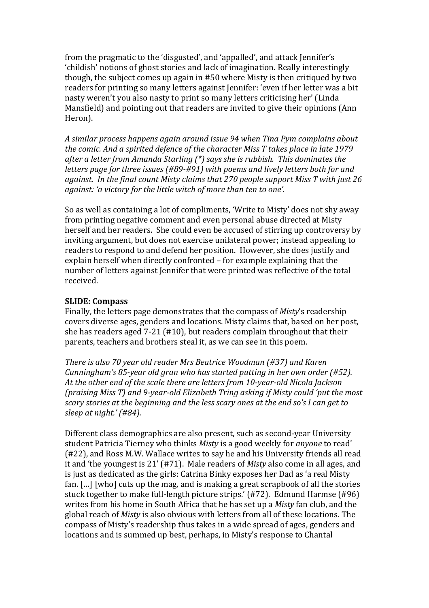from the pragmatic to the 'disgusted', and 'appalled', and attack Jennifer's 'childish' notions of ghost stories and lack of imagination. Really interestingly though, the subject comes up again in #50 where Misty is then critiqued by two readers for printing so many letters against Jennifer: 'even if her letter was a bit nasty weren't you also nasty to print so many letters criticising her' (Linda Mansfield) and pointing out that readers are invited to give their opinions (Ann Heron).

*A similar process happens again around issue 94 when Tina Pym complains about the comic. And a spirited defence of the character Miss T takes place in late 1979 after a letter from Amanda Starling (\*) says she is rubbish. This dominates the letters page for three issues (#89-#91) with poems and lively letters both for and against. In the final count Misty claims that 270 people support Miss T with just 26 against: 'a victory for the little witch of more than ten to one'.* 

So as well as containing a lot of compliments, 'Write to Misty' does not shy away from printing negative comment and even personal abuse directed at Misty herself and her readers. She could even be accused of stirring up controversy by inviting argument, but does not exercise unilateral power; instead appealing to readers to respond to and defend her position. However, she does justify and explain herself when directly confronted – for example explaining that the number of letters against Jennifer that were printed was reflective of the total received.

### **SLIDE: Compass**

Finally, the letters page demonstrates that the compass of *Misty*'s readership covers diverse ages, genders and locations. Misty claims that, based on her post, she has readers aged 7-21 (#10), but readers complain throughout that their parents, teachers and brothers steal it, as we can see in this poem.

*There is also 70 year old reader Mrs Beatrice Woodman (#37) and Karen Cunningham's 85-year old gran who has started putting in her own order (#52). At the other end of the scale there are letters from 10-year-old Nicola Jackson (praising Miss T) and 9-year-old Elizabeth Tring asking if Misty could 'put the most scary stories at the beginning and the less scary ones at the end so's I can get to sleep at night.' (#84).* 

Different class demographics are also present, such as second-year University student Patricia Tierney who thinks *Misty* is a good weekly for *anyone* to read' (#22), and Ross M.W. Wallace writes to say he and his University friends all read it and 'the youngest is 21' (#71). Male readers of *Misty* also come in all ages, and is just as dedicated as the girls: Catrina Binky exposes her Dad as 'a real Misty fan. […] [who] cuts up the mag, and is making a great scrapbook of all the stories stuck together to make full-length picture strips.' (#72). Edmund Harmse (#96) writes from his home in South Africa that he has set up a *Misty* fan club, and the global reach of *Misty* is also obvious with letters from all of these locations. The compass of Misty's readership thus takes in a wide spread of ages, genders and locations and is summed up best, perhaps, in Misty's response to Chantal